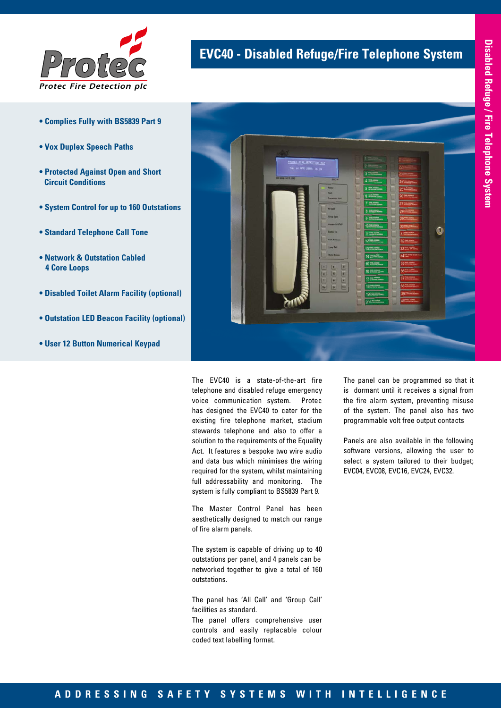

- **Complies Fully with BS5839 Part 9**
- **Vox Duplex Speech Paths**
- **Protected Against Open and Short Circuit Conditions**
- **System Control for up to 160 Outstations**
- **Standard Telephone Call Tone**
- **Network & Outstation Cabled 4 Core Loops**
- **Disabled Toilet Alarm Facility (optional)**
- **Outstation LED Beacon Facility (optional)**
- **User 12 Button Numerical Keypad**





The EVC40 is a state-of-the-art fire telephone and disabled refuge emergency voice communication system. Protec has designed the EVC40 to cater for the existing fire telephone market, stadium stewards telephone and also to offer a solution to the requirements of the Equality Act. It features a bespoke two wire audio and data bus which minimises the wiring required for the system, whilst maintaining full addressability and monitoring. The system is fully compliant to BS5839 Part 9.

The Master Control Panel has been aesthetically designed to match our range of fire alarm panels.

The system is capable of driving up to 40 outstations per panel, and 4 panels can be networked together to give a total of 160 outstations.

The panel has 'All Call' and 'Group Call' facilities as standard.

The panel offers comprehensive user controls and easily replacable colour coded text labelling format.

The panel can be programmed so that it is dormant until it receives a signal from the fire alarm system, preventing misuse of the system. The panel also has two programmable volt free output contacts

Panels are also available in the following software versions, allowing the user to select a system tailored to their budget: EVC04, EVC08, EVC16, EVC24, EVC32.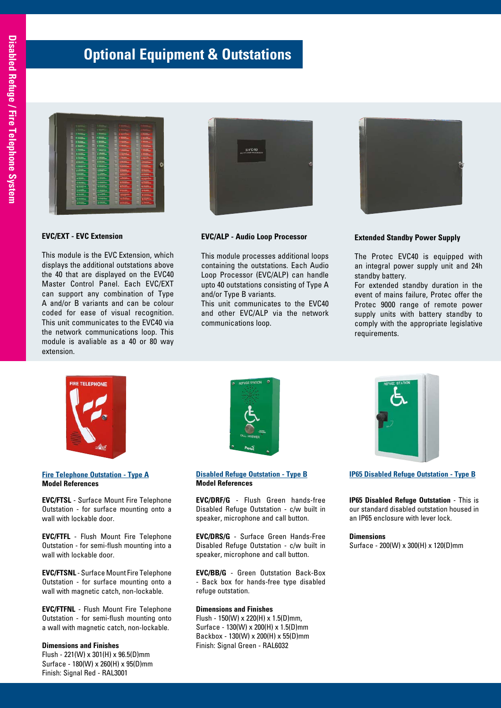### **Optional Equipment & Outstations**

#### **EVC/EXT - EVC Extension**

This module is the EVC Extension, which displays the additional outstations above the 40 that are displayed on the EVC40 Master Control Panel. Each EVC/EXT can support any combination of Type A and/or B variants and can be colour coded for ease of visual recognition. This unit communicates to the EVC40 via the network communications loop. This module is avaliable as a 40 or 80 way extension.



#### **EVC/ALP - Audio Loop Processor**

This module processes additional loops containing the outstations. Each Audio Loop Processor (EVC/ALP) can handle upto 40 outstations consisting of Type A and/or Type B variants.

This unit communicates to the EVC40 and other EVC/ALP via the network communications loop.



#### **Extended Standby Power Supply**

The Protec EVC40 is equipped with an integral power supply unit and 24h standby battery.

For extended standby duration in the event of mains failure, Protec offer the Protec 9000 range of remote power supply units with battery standby to comply with the appropriate legislative requirements.



#### **Fire Telephone Outstation - Type A Model References**

**EVC/FTSL** - Surface Mount Fire Telephone Outstation - for surface mounting onto a wall with lockable door.

**EVC/FTFL** - Flush Mount Fire Telephone Outstation - for semi-flush mounting into a wall with lockable door.

**EVC/FTSNL** - Surface Mount Fire Telephone Outstation - for surface mounting onto a wall with magnetic catch, non-lockable.

**EVC/FTFNL** - Flush Mount Fire Telephone Outstation - for semi-flush mounting onto a wall with magnetic catch, non-lockable.

#### **Dimensions and Finishes**

Flush - 221(W) x 301(H) x 96.5(D)mm Surface - 180(W) x 260(H) x 95(D)mm Finish: Signal Red - RAL3001



**Disabled Refuge Outstation - Type B Model References**

**EVC/DRF/G** - Flush Green hands-free Disabled Refuge Outstation - c/w built in speaker, microphone and call button.

**EVC/DRS/G** - Surface Green Hands-Free Disabled Refuge Outstation - c/w built in speaker, microphone and call button.

**EVC/BB/G** - Green Outstation Back-Box - Back box for hands-free type disabled refuge outstation.

#### **Dimensions and Finishes**

Flush - 150(W) x 220(H) x 1.5(D)mm, Surface - 130(W) x 200(H) x 1.5(D)mm Backbox - 130(W) x 200(H) x 55(D)mm Finish: Signal Green - RAL6032



**IP65 Disabled Refuge Outstation - Type B**

**IP65 Disabled Refuge Outstation** - This is our standard disabled outstation housed in an IP65 enclosure with lever lock.

#### **Dimensions**

Surface - 200(W) x 300(H) x 120(D)mm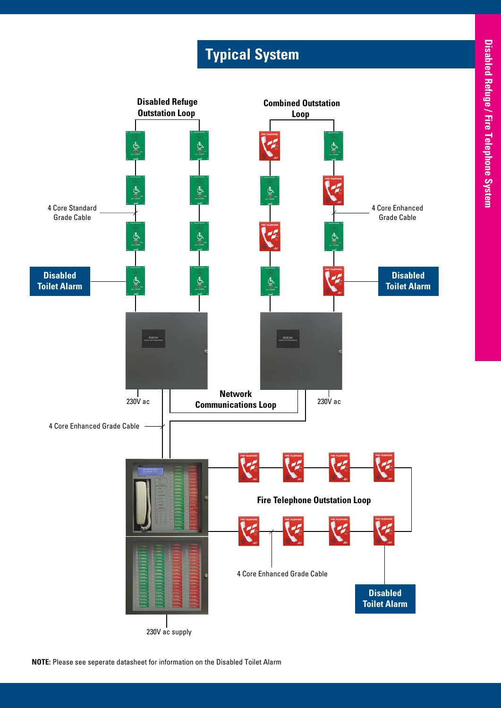# **Typical System**



**NOTE:** Please see seperate datasheet for information on the Disabled Toilet Alarm